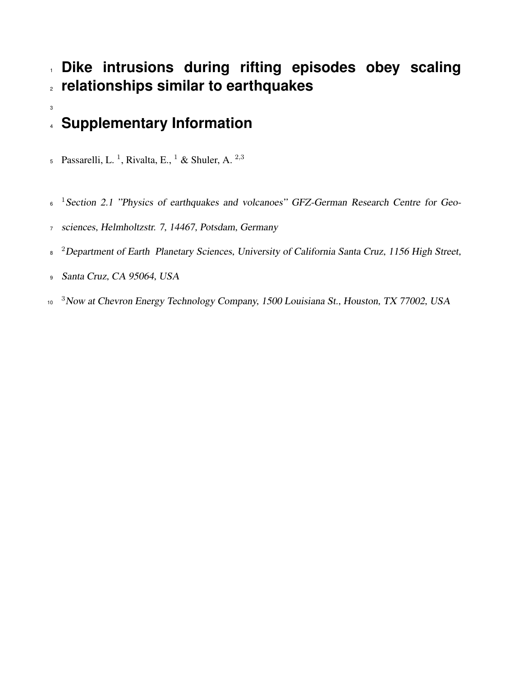## **Dike intrusions during rifting episodes obey scaling relationships similar to earthquakes**

# **Supplementary Information**

- Passarelli, L.<sup>1</sup>, Rivalta, E., <sup>1</sup> & Shuler, A.<sup>2,3</sup>
- <sup>6</sup> <sup>1</sup> Section 2.1 "Physics of earthquakes and volcanoes" GFZ-German Research Centre for Geo-
- sciences, Helmholtzstr. 7, 14467, Potsdam, Germany
- <sup>2</sup> Department of Earth Planetary Sciences, University of California Santa Cruz, 1156 High Street,
- Santa Cruz, CA 95064, USA

 <sup>3</sup>Now at Chevron Energy Technology Company, 1500 Louisiana St., Houston, TX 77002, USA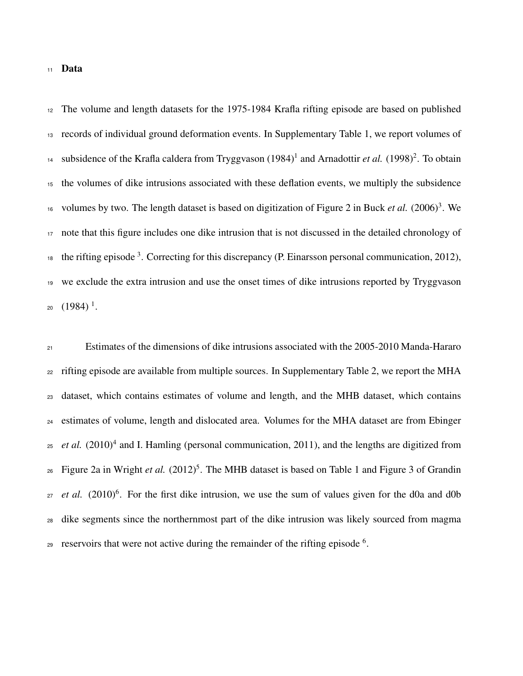#### Data

 The volume and length datasets for the 1975-1984 Krafla rifting episode are based on published records of individual ground deformation events. In Supplementary Table 1, we report volumes of <sup>14</sup> subsidence of the Krafla caldera from Tryggvason  $(1984)^1$  and Arnadottir *et al.*  $(1998)^2$ . To obtain the volumes of dike intrusions associated with these deflation events, we multiply the subsidence <sup>16</sup> volumes by two. The length dataset is based on digitization of Figure 2 in Buck *et al.*  $(2006)^3$ . We note that this figure includes one dike intrusion that is not discussed in the detailed chronology of the rifting episode . Correcting for this discrepancy (P. Einarsson personal communication, 2012), we exclude the extra intrusion and use the onset times of dike intrusions reported by Tryggvason  $_{20}$   $(1984)^{\frac{1}{1}}$ .

<sup>21</sup> Estimates of the dimensions of dike intrusions associated with the 2005-2010 Manda-Hararo <sub>22</sub> rifting episode are available from multiple sources. In Supplementary Table 2, we report the MHA dataset, which contains estimates of volume and length, and the MHB dataset, which contains estimates of volume, length and dislocated area. Volumes for the MHA dataset are from Ebinger *et al.*  $(2010)^4$  and I. Hamling (personal communication, 2011), and the lengths are digitized from 26 Figure 2a in Wright *et al.* (2012)<sup>5</sup>. The MHB dataset is based on Table 1 and Figure 3 of Grandin *et al.*  $(2010)^6$ . For the first dike intrusion, we use the sum of values given for the d0a and d0b dike segments since the northernmost part of the dike intrusion was likely sourced from magma reservoirs that were not active during the remainder of the rifting episode  $6$ .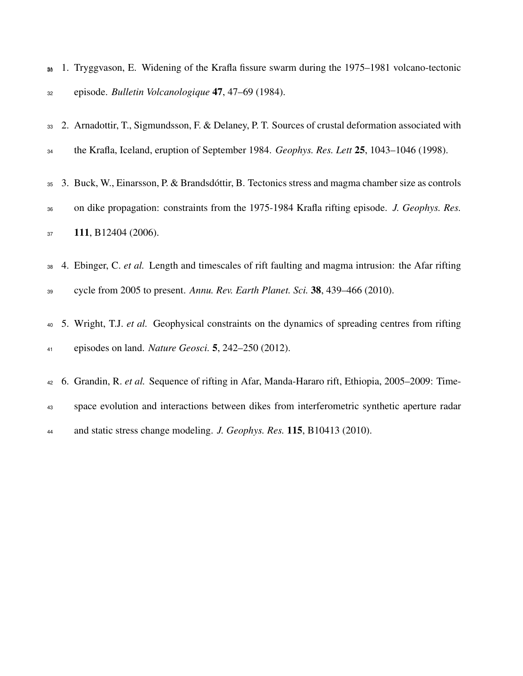|    |  | $_{90}$ 1. Tryggvason, E. Widening of the Krafla fissure swarm during the 1975–1981 volcano-tectonic |  |  |  |
|----|--|------------------------------------------------------------------------------------------------------|--|--|--|
| 32 |  | episode. <i>Bulletin Volcanologique</i> 47, 47–69 (1984).                                            |  |  |  |

 2. Arnadottir, T., Sigmundsson, F. & Delaney, P. T. Sources of crustal deformation associated with the Krafla, Iceland, eruption of September 1984. *Geophys. Res. Lett* 25, 1043–1046 (1998).

- 3. Buck, W., Einarsson, P. & Brandsdottir, B. Tectonics stress and magma chamber size as controls ´ on dike propagation: constraints from the 1975-1984 Krafla rifting episode. *J. Geophys. Res.* 37 111, B12404 (2006).
- 4. Ebinger, C. *et al.* Length and timescales of rift faulting and magma intrusion: the Afar rifting cycle from 2005 to present. *Annu. Rev. Earth Planet. Sci.* 38, 439–466 (2010).
- 5. Wright, T.J. *et al.* Geophysical constraints on the dynamics of spreading centres from rifting episodes on land. *Nature Geosci.* 5, 242–250 (2012).

 6. Grandin, R. *et al.* Sequence of rifting in Afar, Manda-Hararo rift, Ethiopia, 2005–2009: Time- space evolution and interactions between dikes from interferometric synthetic aperture radar and static stress change modeling. *J. Geophys. Res.* 115, B10413 (2010).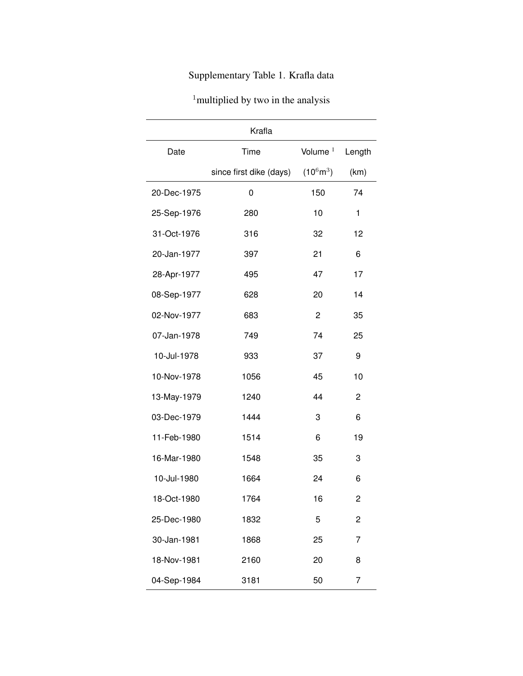### Supplementary Table 1. Krafla data

| <sup>1</sup> multiplied by two in the analysis |  |  |  |
|------------------------------------------------|--|--|--|
|                                                |  |  |  |

| Krafla      |                         |                     |        |  |  |  |  |
|-------------|-------------------------|---------------------|--------|--|--|--|--|
| Date        | Time                    | Volume $1$          | Length |  |  |  |  |
|             | since first dike (days) | $(10^6 \text{m}^3)$ | (km)   |  |  |  |  |
| 20-Dec-1975 | 0                       | 150                 | 74     |  |  |  |  |
| 25-Sep-1976 | 280                     | 10                  | 1      |  |  |  |  |
| 31-Oct-1976 | 316                     | 32                  | 12     |  |  |  |  |
| 20-Jan-1977 | 397                     | 21                  | 6      |  |  |  |  |
| 28-Apr-1977 | 495                     | 47                  | 17     |  |  |  |  |
| 08-Sep-1977 | 628                     | 20                  | 14     |  |  |  |  |
| 02-Nov-1977 | 683                     | $\overline{c}$      | 35     |  |  |  |  |
| 07-Jan-1978 | 749                     | 74                  | 25     |  |  |  |  |
| 10-Jul-1978 | 933                     | 37                  | 9      |  |  |  |  |
| 10-Nov-1978 | 1056                    | 45                  | 10     |  |  |  |  |
| 13-May-1979 | 1240                    | 44                  | 2      |  |  |  |  |
| 03-Dec-1979 | 1444                    | 3                   | 6      |  |  |  |  |
| 11-Feb-1980 | 1514                    | 6                   | 19     |  |  |  |  |
| 16-Mar-1980 | 1548                    | 35                  | 3      |  |  |  |  |
| 10-Jul-1980 | 1664                    | 24                  | 6      |  |  |  |  |
| 18-Oct-1980 | 1764                    | 16                  | 2      |  |  |  |  |
| 25-Dec-1980 | 1832                    | 5                   | 2      |  |  |  |  |
| 30-Jan-1981 | 1868                    | 25                  | 7      |  |  |  |  |
| 18-Nov-1981 | 2160                    | 20                  | 8      |  |  |  |  |
| 04-Sep-1984 | 3181                    | 50                  | 7      |  |  |  |  |